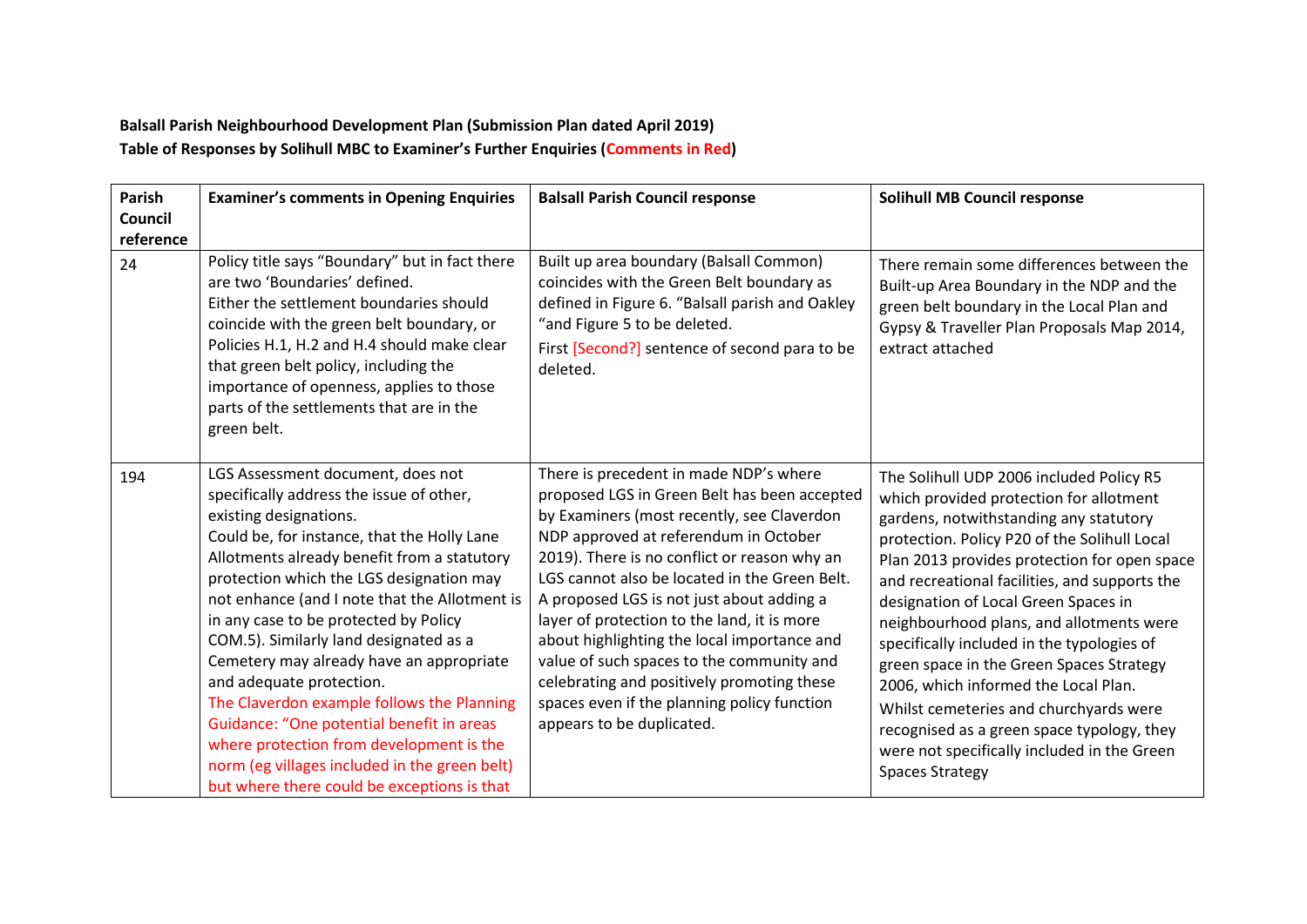## **Balsall Parish Neighbourhood Development Plan (Submission Plan dated April 2019) Table of Responses by Solihull MBC to Examiner's Further Enquiries (Comments in Red)**

| Parish<br>Council<br>reference | <b>Examiner's comments in Opening Enquiries</b>                                                                                                                                                                                                                                                                                                                                                                                                                                                                                                                                                                                                                                                      | <b>Balsall Parish Council response</b>                                                                                                                                                                                                                                                                                                                                                                                                                                                                                                                                                           | <b>Solihull MB Council response</b>                                                                                                                                                                                                                                                                                                                                                                                                                                                                                                                                                                                                                                   |
|--------------------------------|------------------------------------------------------------------------------------------------------------------------------------------------------------------------------------------------------------------------------------------------------------------------------------------------------------------------------------------------------------------------------------------------------------------------------------------------------------------------------------------------------------------------------------------------------------------------------------------------------------------------------------------------------------------------------------------------------|--------------------------------------------------------------------------------------------------------------------------------------------------------------------------------------------------------------------------------------------------------------------------------------------------------------------------------------------------------------------------------------------------------------------------------------------------------------------------------------------------------------------------------------------------------------------------------------------------|-----------------------------------------------------------------------------------------------------------------------------------------------------------------------------------------------------------------------------------------------------------------------------------------------------------------------------------------------------------------------------------------------------------------------------------------------------------------------------------------------------------------------------------------------------------------------------------------------------------------------------------------------------------------------|
| 24                             | Policy title says "Boundary" but in fact there<br>are two 'Boundaries' defined.<br>Either the settlement boundaries should<br>coincide with the green belt boundary, or<br>Policies H.1, H.2 and H.4 should make clear<br>that green belt policy, including the<br>importance of openness, applies to those<br>parts of the settlements that are in the<br>green belt.                                                                                                                                                                                                                                                                                                                               | Built up area boundary (Balsall Common)<br>coincides with the Green Belt boundary as<br>defined in Figure 6. "Balsall parish and Oakley<br>"and Figure 5 to be deleted.<br>First [Second?] sentence of second para to be<br>deleted.                                                                                                                                                                                                                                                                                                                                                             | There remain some differences between the<br>Built-up Area Boundary in the NDP and the<br>green belt boundary in the Local Plan and<br>Gypsy & Traveller Plan Proposals Map 2014,<br>extract attached                                                                                                                                                                                                                                                                                                                                                                                                                                                                 |
| 194                            | LGS Assessment document, does not<br>specifically address the issue of other,<br>existing designations.<br>Could be, for instance, that the Holly Lane<br>Allotments already benefit from a statutory<br>protection which the LGS designation may<br>not enhance (and I note that the Allotment is<br>in any case to be protected by Policy<br>COM.5). Similarly land designated as a<br>Cemetery may already have an appropriate<br>and adequate protection.<br>The Claverdon example follows the Planning<br>Guidance: "One potential benefit in areas<br>where protection from development is the<br>norm (eg villages included in the green belt)<br>but where there could be exceptions is that | There is precedent in made NDP's where<br>proposed LGS in Green Belt has been accepted<br>by Examiners (most recently, see Claverdon<br>NDP approved at referendum in October<br>2019). There is no conflict or reason why an<br>LGS cannot also be located in the Green Belt.<br>A proposed LGS is not just about adding a<br>layer of protection to the land, it is more<br>about highlighting the local importance and<br>value of such spaces to the community and<br>celebrating and positively promoting these<br>spaces even if the planning policy function<br>appears to be duplicated. | The Solihull UDP 2006 included Policy R5<br>which provided protection for allotment<br>gardens, notwithstanding any statutory<br>protection. Policy P20 of the Solihull Local<br>Plan 2013 provides protection for open space<br>and recreational facilities, and supports the<br>designation of Local Green Spaces in<br>neighbourhood plans, and allotments were<br>specifically included in the typologies of<br>green space in the Green Spaces Strategy<br>2006, which informed the Local Plan.<br>Whilst cemeteries and churchyards were<br>recognised as a green space typology, they<br>were not specifically included in the Green<br><b>Spaces Strategy</b> |